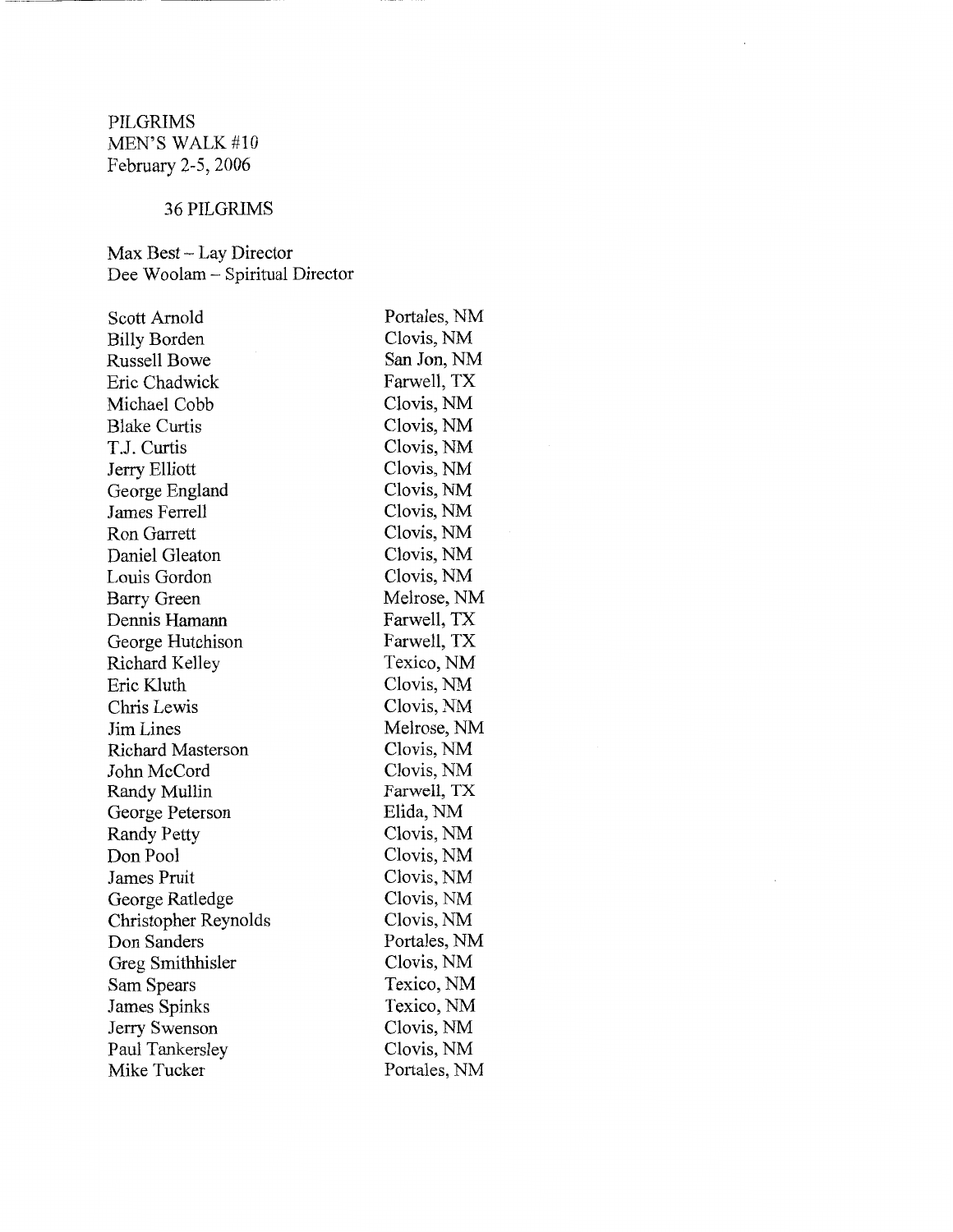PILGRIMS MEN'S WALK #10 February 2-5, 2006

# 36 PILGRIMS

Max Best- Lay Director Dee Woolam - Spiritual Director

| Scott Arnold             | Portales, NM |
|--------------------------|--------------|
| <b>Billy Borden</b>      | Clovis, NM   |
| <b>Russell Bowe</b>      | San Jon, NM  |
| Eric Chadwick            | Farwell, TX  |
| Michael Cobb             | Clovis, NM   |
| <b>Blake Curtis</b>      | Clovis, NM   |
| T.J. Curtis              | Clovis, NM   |
| Jerry Elliott            | Clovis, NM   |
| George England           | Clovis, NM   |
| <b>James Ferrell</b>     | Clovis, NM   |
| <b>Ron Garrett</b>       | Clovis, NM   |
| Daniel Gleaton           | Clovis, NM   |
| Louis Gordon             | Clovis, NM   |
| <b>Barry Green</b>       | Melrose, NM  |
| Dennis Hamann            | Farwell, TX  |
| George Hutchison         | Farwell, TX  |
| Richard Kelley           | Texico, NM   |
| Eric Kluth               | Clovis, NM   |
| Chris Lewis              | Clovis, NM   |
| Jim Lines                | Melrose, NM  |
| <b>Richard Masterson</b> | Clovis, NM   |
| John McCord              | Clovis, NM   |
| Randy Mullin             | Farwell, TX  |
| George Peterson          | Elida, NM    |
| <b>Randy Petty</b>       | Clovis, NM   |
| Don Pool                 | Clovis, NM   |
| James Pruit              | Clovis, NM   |
| George Ratledge          | Clovis, NM   |
| Christopher Reynolds     | Clovis, NM   |
| Don Sanders              | Portales, NM |
| Greg Smithhisler         | Clovis, NM   |
| Sam Spears               | Texico, NM   |
| James Spinks             | Texico, NM   |
| Jerry Swenson            | Clovis, NM   |
| Paul Tankersley          | Clovis, NM   |
| Mike Tucker              | Portales, NM |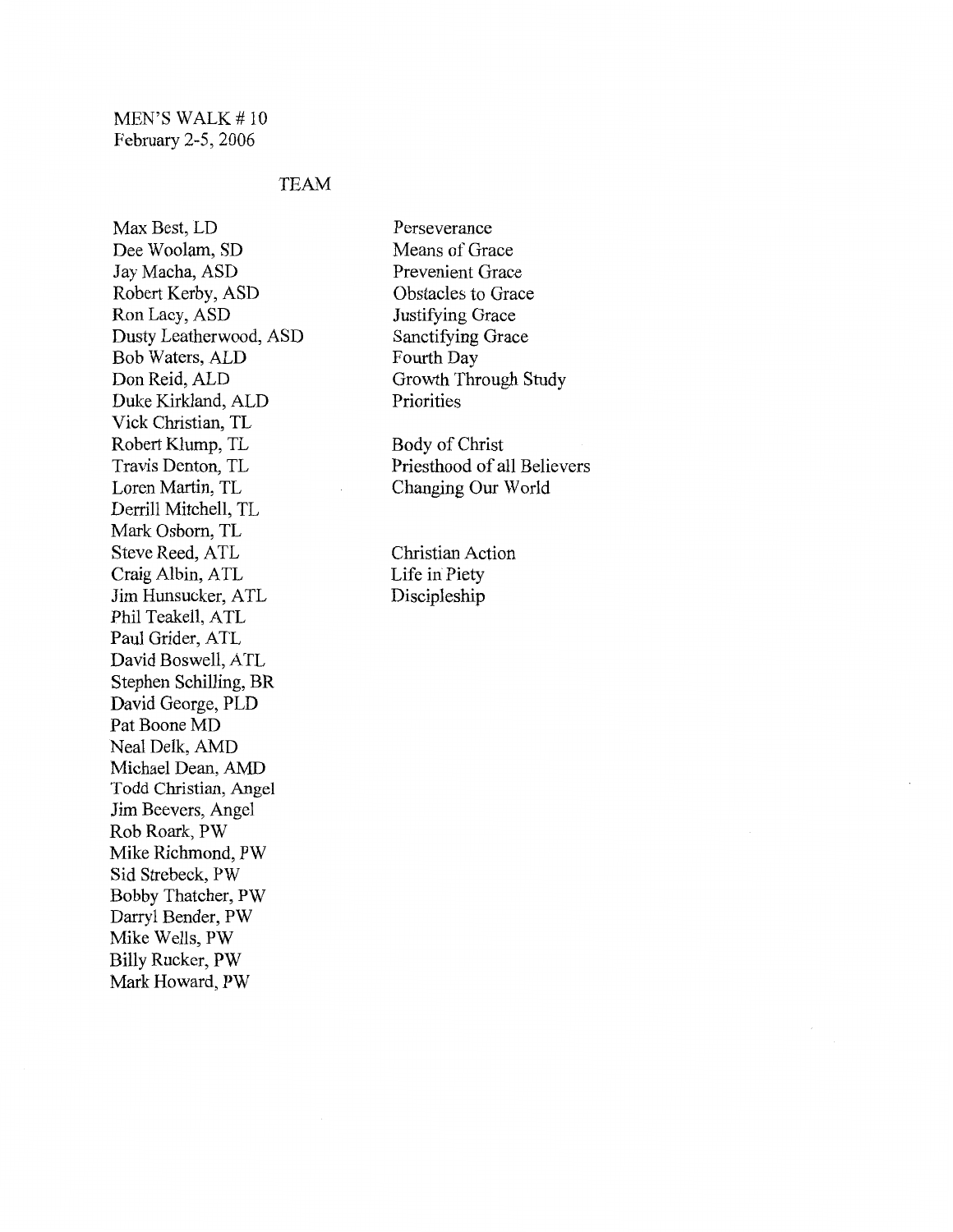#### TEAM

Max Best, LD Dee Woolam, SD Jay Macha, ASD Robert Kerby, ASD Ron Lacy, ASD Dusty Leatherwood, ASD Bob Waters, ALD Don Reid, ALD Duke Kirkland, ALD Vick Christian, TL Robert Klump, TL Travis Denton, TL Loren Martin, TL Derrill Mitchell, TL Mark Osborn, TL Steve Reed, ATL Craig Albin, ATL Jim Hunsucker, ATL Phil Teakell, ATL Paul Grider, ATL David Boswell, ATL Stephen Schilling, BR David George, PLD Pat Boone MD Neal Delk, AMD Michael Dean, AMD Todd Christian, Angel Jim Beevers, Angel Rob Roark, PW Mike Richmond, PW Sid Strebeck, PW Bobby Thatcher, PW Darryl Bender, PW Mike Wells, PW Billy Rucker, PW Mark Howard, PW

Perseverance Means of Grace Prevenient Grace Obstacles to Grace Justifying Grace Sanctifying Grace Fourth Day Growth Through Study **Priorities** 

Body of Christ Priesthood of all Believers Changing Our World

Christian Action Life in Piety Discipleship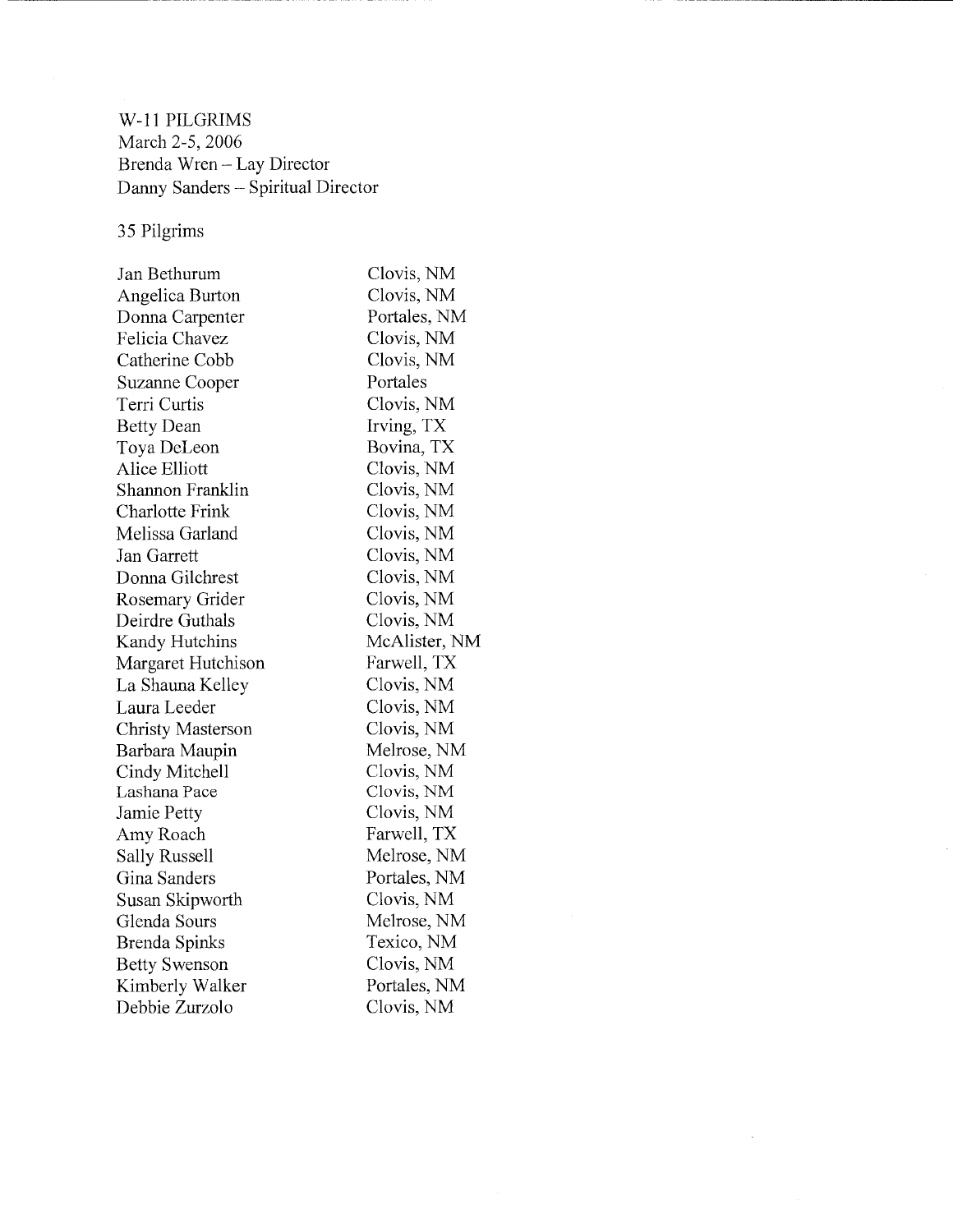## W-11 PILGRIMS March 2-5, 2006 Brenda Wren- Lay Director Danny Sanders- Spiritual Director

35 Pilgrims

| Jan Bethurum           | Clovis, NM    |
|------------------------|---------------|
| Angelica Burton        | Clovis, NM    |
| Donna Carpenter        | Portales, NM  |
| Felicia Chavez         | Clovis, NM    |
| Catherine Cobb         | Clovis, NM    |
| Suzanne Cooper         | Portales      |
| Terri Curtis           | Clovis, NM    |
| <b>Betty Dean</b>      | Irving, TX    |
| Toya DeLeon            | Bovina, TX    |
| Alice Elliott          | Clovis, NM    |
| Shannon Franklin       | Clovis, NM    |
| <b>Charlotte Frink</b> | Clovis, NM    |
| Melissa Garland        | Clovis, NM    |
| Jan Garrett            | Clovis, NM    |
| Donna Gilchrest        | Clovis, NM    |
| Rosemary Grider        | Clovis, NM    |
| Deirdre Guthals        | Clovis, NM    |
| Kandy Hutchins         | McAlister, NM |
| Margaret Hutchison     | Farwell, TX   |
| La Shauna Kelley       | Clovis, NM    |
| Laura Leeder           | Clovis, NM    |
| Christy Masterson      | Clovis, NM    |
| Barbara Maupin         | Melrose, NM   |
| Cindy Mitchell         | Clovis, NM    |
| Lashana Pace           | Clovis, NM    |
| Jamie Petty            | Clovis, NM    |
| Amy Roach              | Farwell, TX   |
| Sally Russell          | Melrose, NM   |
| Gina Sanders           | Portales, NM  |
| Susan Skipworth        | Clovis, NM    |
| Glenda Sours           | Melrose, NM   |
| Brenda Spinks          | Texico, NM    |
| <b>Betty Swenson</b>   | Clovis, NM    |
| Kimberly Walker        | Portales, NM  |
| Debbie Zurzolo         | Clovis, NM    |

 $\Delta \phi$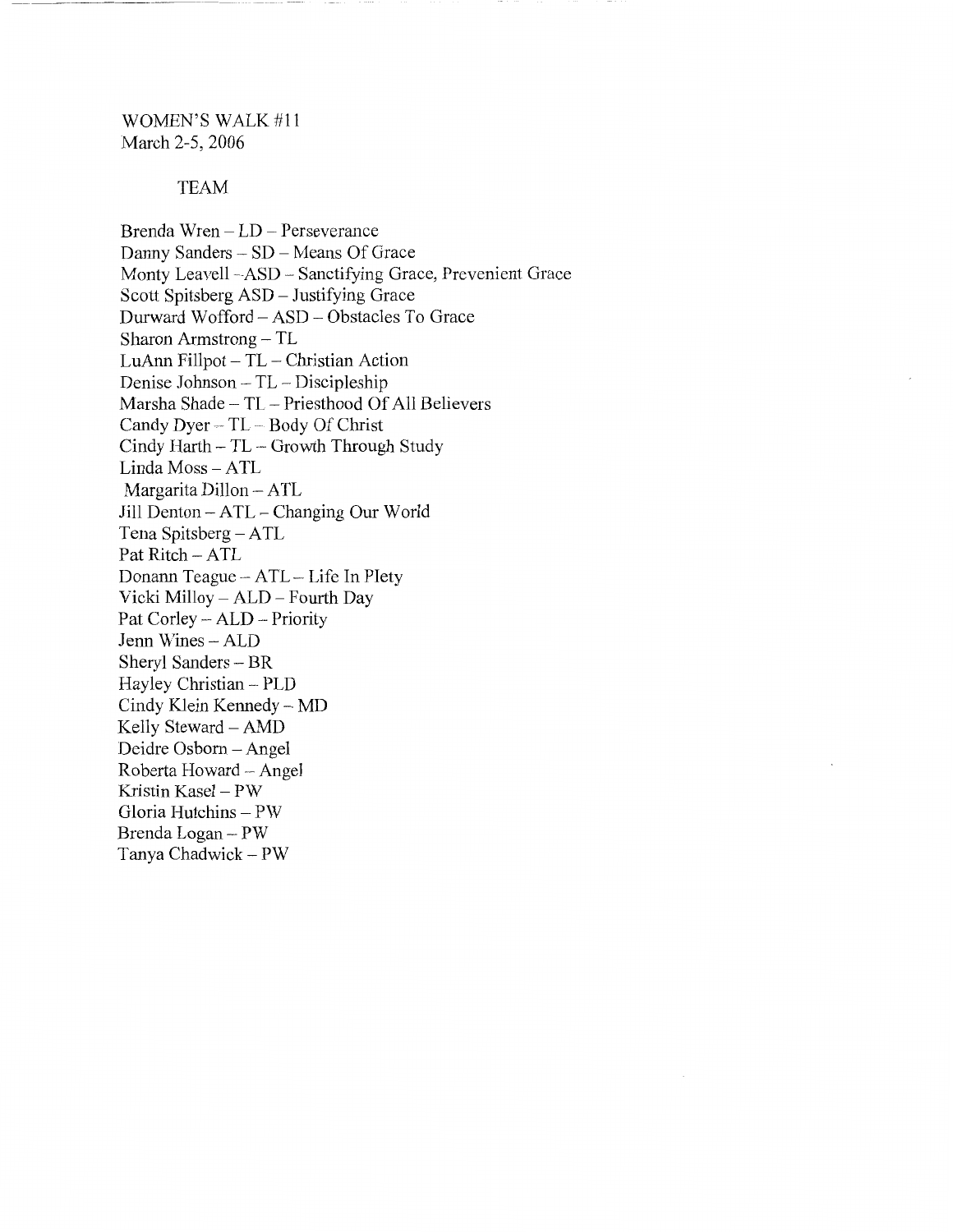WOMEN'S WALK #11 March 2-5,2006

#### TEAM

Brenda Wren- LD- Perseverance Danny Sanders - SD - Means Of Grace Monty Leavell -ASD - Sanctifying Grace, Prevenient Grace Scott Spitsberg ASD- Justifying Grace Durward Wofford- ASD- Obstacles To Grace Sharon Armstrong - TL LuAnn Fillpot- TL- Christian Action Denise Johnson- TL- Discipleship Marsha Shade - TL - Priesthood Of All Believers Candy Dyer- TL - Body Of Christ Cindy Harth - TL - Growth Through Study Linda Moss - ATL Margarita Dillon - ATL Jill Denton - ATL - Changing Our World Tena Spitsberg- ATL Pat Ritch - ATL Donann Teague- ATL- Life In Piety Vicki Milloy- ALD- Fourth Day Pat Corley - ALD - Priority Jenn Wines - ALD Sheryl Sanders - BR Hayley Christian - PLD Cindy Klein Kennedy- MD Kelly Steward - AMD Deidre Osborn - Angel Roberta Howard- Angel Kristin Kasel - PW Gloria Hutchins- PW Brenda Logan - PW Tanya Chadwick- PW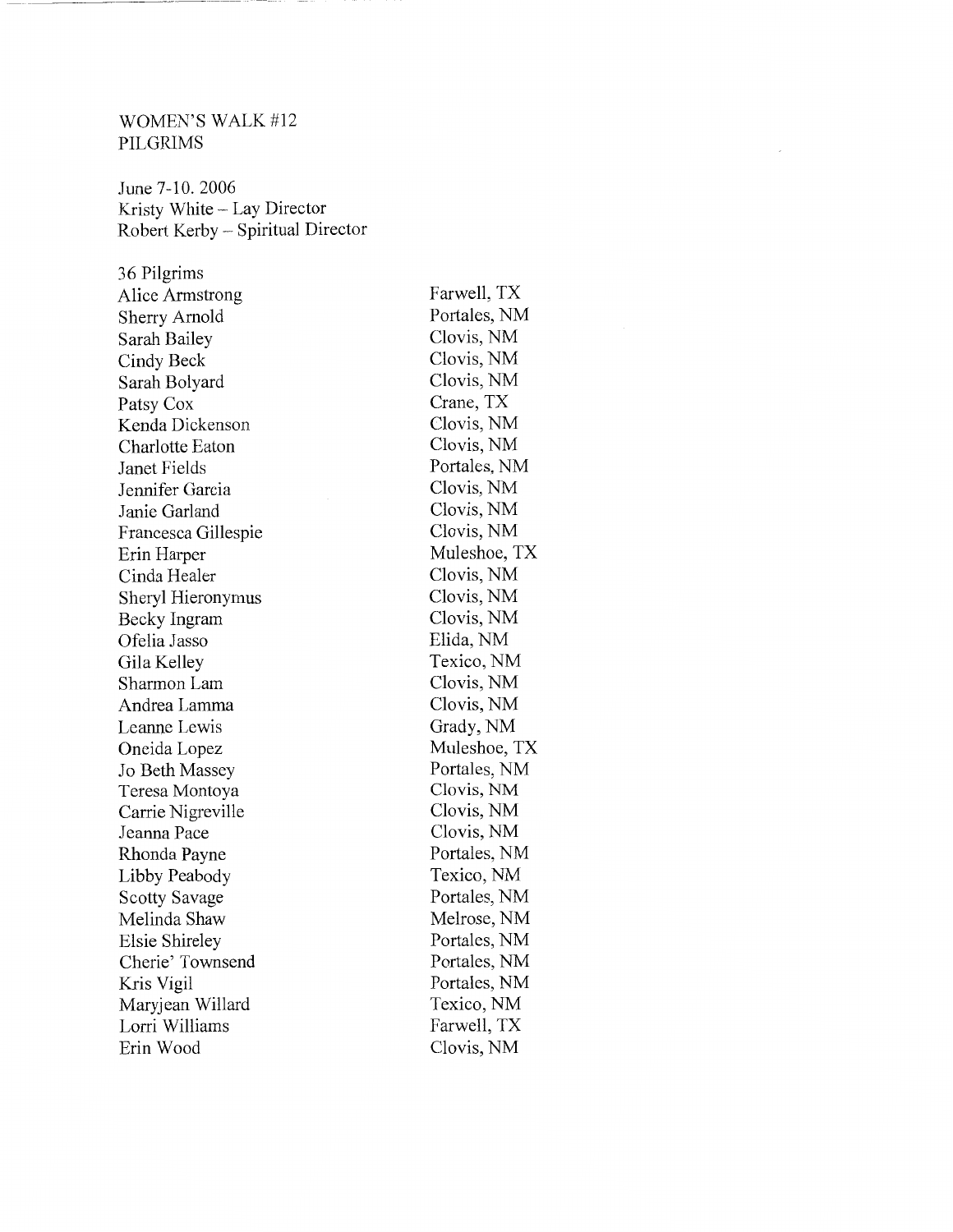#### WOMEN'S WALK#12 PILGRlMS

June 7-10. 2006 Kristy White - Lay Director Robert Kerby- Spiritual Director

36 Pilgrims Alice Armstrong Sherry Arnold Sarah Bailey Cindy Beck Sarah Bolyard Patsy Cox Kenda Dickenson Charlotte Eaton Janet Fields Jennifer Garcia Janie Garland Francesca Gillespie Erin Harper Cinda Healer Sheryl Hieronymus Becky Ingram Ofelia Jasso Gila Kelley Sharmon Lam Andrea Lamma Leanne Lewis Oneida Lopez Jo Beth Massey Teresa Montoya Carrie Nigreville Jeanna Pace Rhonda Payne Libby Peabody Scotty Savage Melinda Shaw Elsie Shireley Cherie' Townsend Kris Vigil Maryjean Willard Lorri Williams Erin Wood

Farwell, TX Portales, NM Clovis, NM Clovis, NM Clovis, NM Crane, TX Clovis, NM Clovis, NM Portales, NM Clovis, NM Clovis, NM Clovis, NM Muleshoe, TX Clovis, NM Clovis, NM Clovis, NM Elida, NM Texico, NM Clovis, NM Clovis, NM Grady, NM Muleshoe, TX Portales, NM Clovis, NM Clovis, NM Clovis, NM Portales, NM Texico, NM Portales, NM Melrose, NM Portales, NM Portales, NM Portales, NM Texico, NM Farwell, TX Clovis, NM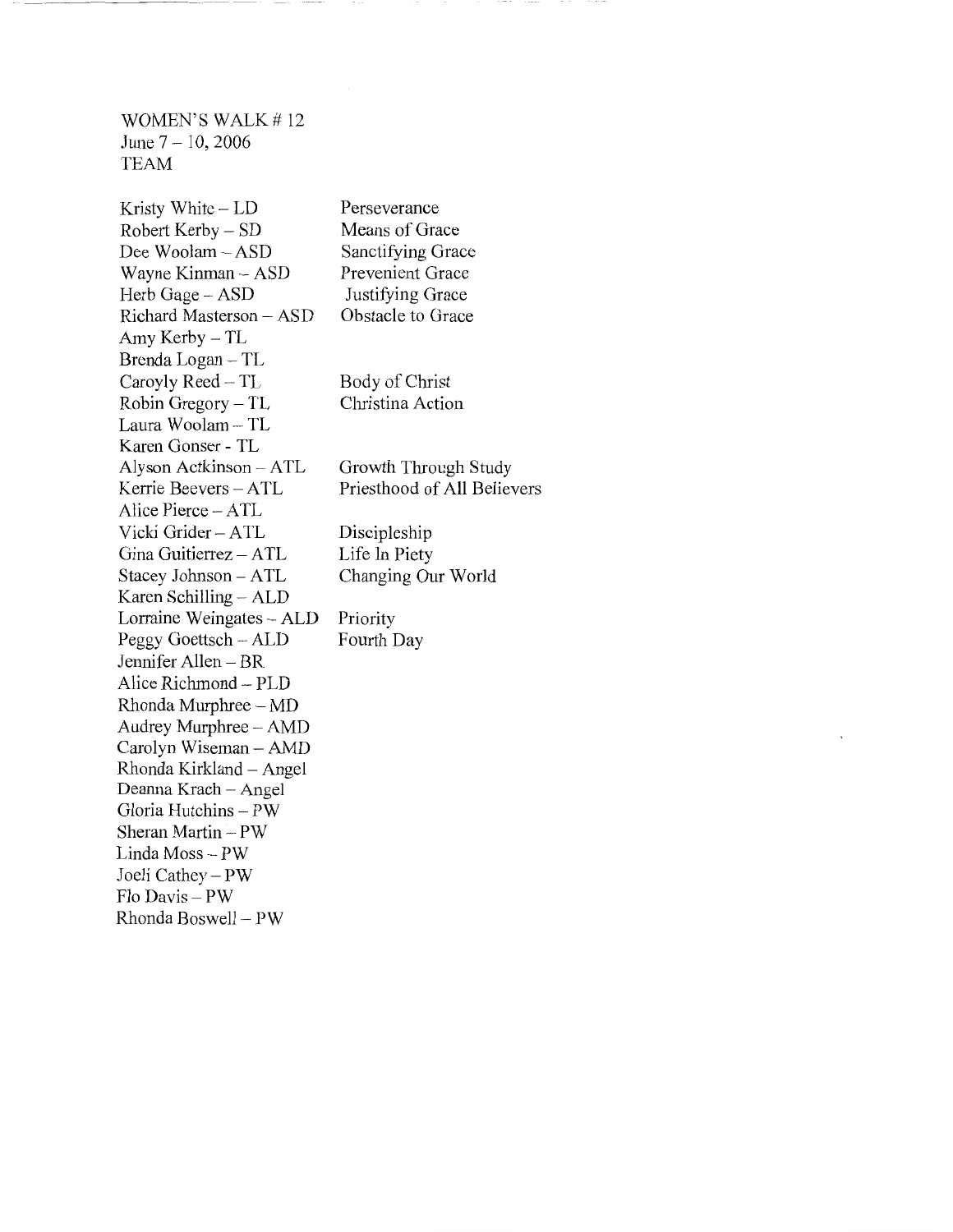### WOMEN'S WALK #12 June  $7 - 10$ , 2006 TEAM

-----~---~ -- --~

| Kristy White $-LD$       | Perseverance                |
|--------------------------|-----------------------------|
| Robert Kerby – SD        | Means of Grace              |
| Dee Woolam - ASD         | <b>Sanctifying Grace</b>    |
| Wayne Kinman - ASD       | Prevenient Grace            |
| Herb Gage - ASD          | Justifying Grace            |
| Richard Masterson - ASD  | Obstacle to Grace           |
| Amy Kerby – TL           |                             |
| Brenda Logan – TL        |                             |
| Caroyly Reed - TL        | Body of Christ              |
| Robin Gregory $-TL$      | Christina Action            |
| Laura Woolam - TL        |                             |
| Karen Gonser - TL        |                             |
| Alyson Actkinson - ATL   | Growth Through Study        |
| Kerrie Beevers - ATL     | Priesthood of All Believers |
| Alice Pierce - ATL       |                             |
| Vicki Grider - ATL       | Discipleship                |
| Gina Guitierrez - ATL    | Life In Piety               |
| Stacey Johnson - ATL     | Changing Our World          |
| Karen Schilling - ALD    |                             |
| Lorraine Weingates - ALD | Priority                    |
| Peggy Goettsch – ALD     | Fourth Day                  |
| Jennifer Allen – BR      |                             |
| Alice Richmond - PLD     |                             |
| Rhonda Murphree – MD     |                             |
| Audrey Murphree - AMD    |                             |
| Carolyn Wiseman - AMD    |                             |
| Rhonda Kirkland - Angel  |                             |
| Deanna Krach - Angel     |                             |
| Gloria Hutchins - PW     |                             |
| Sheran Martin - PW       |                             |
| Linda Moss -- PW         |                             |
| Joeli Cathey – PW        |                             |
| Flo Davis - PW           |                             |
| Rhonda Boswell - PW      |                             |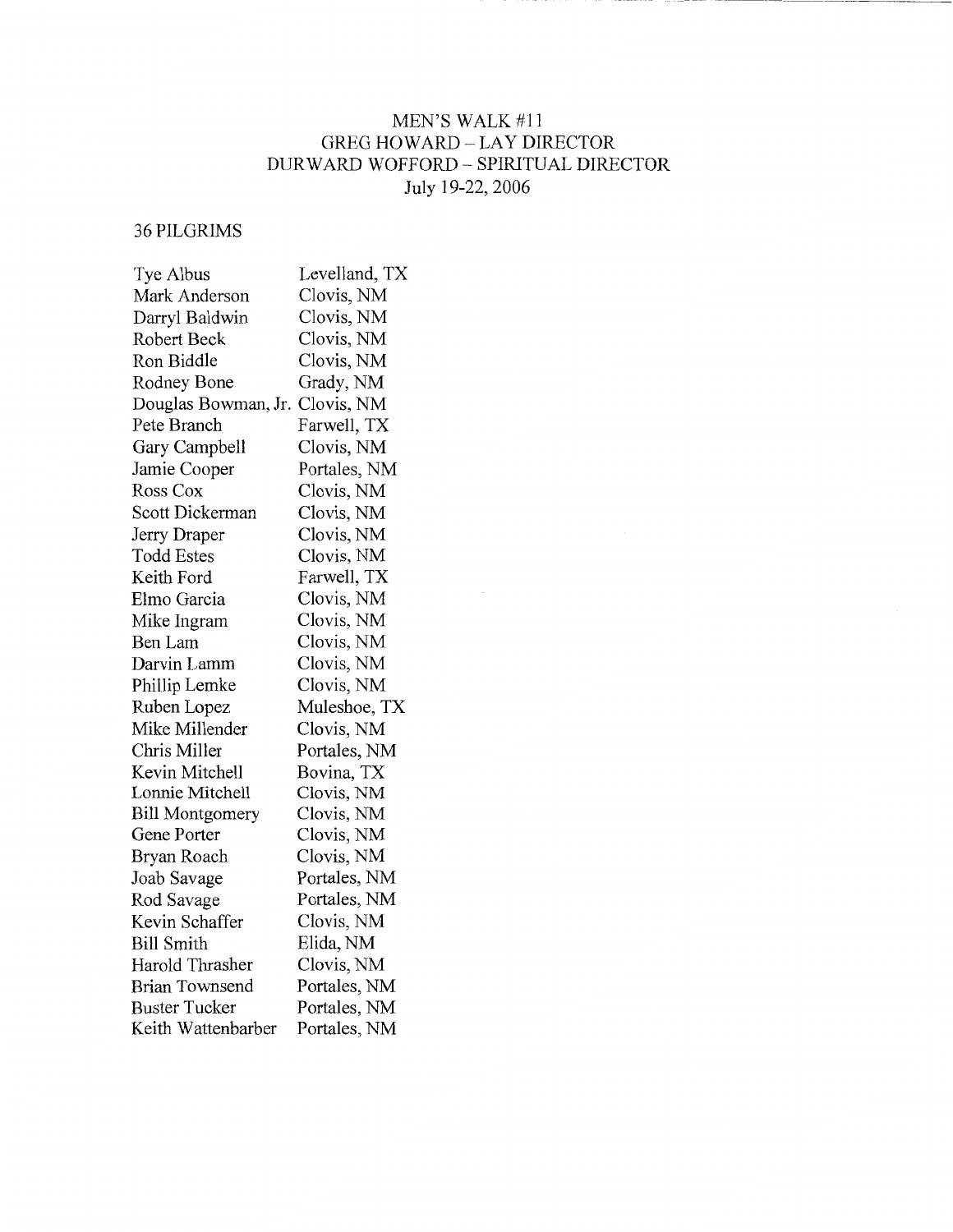## MEN'S WALK #11 GREG HOWARD- LAY DIRECTOR DURWARD WOFFORD- SPIRITUAL DIRECTOR July 19-22, 2006

 $\cdot$ 

### 36 PILGRIMS

| Tye Albus              | Levelland, TX |
|------------------------|---------------|
| Mark Anderson          | Clovis, NM    |
| Darryl Baldwin         | Clovis, NM    |
| Robert Beck            | Clovis, NM    |
| Ron Biddle             | Clovis, NM    |
| Rodney Bone            | Grady, NM     |
| Douglas Bowman, Jr.    | Clovis, NM    |
| Pete Branch            | Farwell, TX   |
| Gary Campbell          | Clovis, NM    |
| Jamie Cooper           | Portales, NM  |
| Ross Cox               | Clovis, NM    |
| Scott Dickerman        | Clovis, NM    |
| Jerry Draper           | Clovis, NM    |
| <b>Todd Estes</b>      | Clovis, NM    |
| Keith Ford             | Farwell, TX   |
| Elmo Garcia            | Clovis, NM    |
| Mike Ingram            | Clovis, NM    |
| Ben Lam                | Clovis, NM    |
| Darvin Lamm            | Clovis, NM    |
| Phillip Lemke          | Clovis, NM    |
| Ruben Lopez            | Muleshoe, TX  |
| Mike Millender         | Clovis, NM    |
| Chris Miller           | Portales, NM  |
| Kevin Mitchell         | Bovina, TX    |
| Lonnie Mitchell        | Clovis, NM    |
| <b>Bill Montgomery</b> | Clovis, NM    |
| Gene Porter            | Clovis, NM    |
| Bryan Roach            | Clovis, NM    |
| Joab Savage            | Portales, NM  |
| Rod Savage             | Portales, NM  |
| Kevin Schaffer         | Clovis, NM    |
| <b>Bill Smith</b>      | Elida, NM     |
| Harold Thrasher        | Clovis, NM    |
| <b>Brian Townsend</b>  | Portales, NM  |
| <b>Buster Tucker</b>   | Portales, NM  |
| Keith Wattenbarber     | Portales, NM  |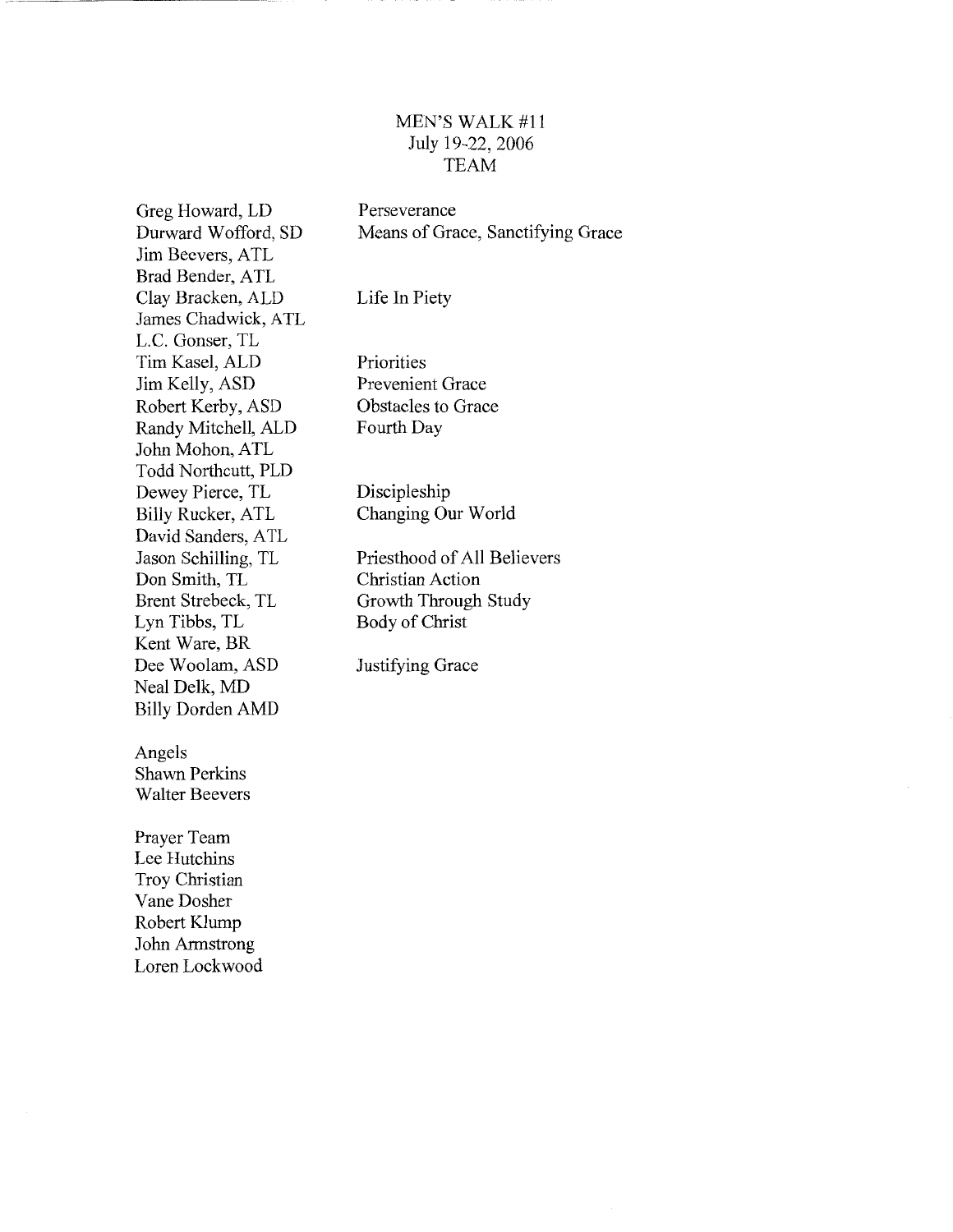#### MEN'S WALK #11 July 19-22, 2006 TEAM

Means of Grace, Sanctifying Grace

Greg Howard, LD Durward Wofford, SD Jim Beevers, ATL Brad Bender, ATL Clay Bracken, ALD James Chadwick, A TL L.C. Gonser, TL Tim Kasel, ALD Jim Kelly, ASD Robert Kerby, ASD Randy Mitchell, ALD John Mohon, ATL Todd Northcutt, PLD Dewey Pierce, TL Billy Rucker, ATL David Sanders, ATL Jason Schilling, TL Don Smith, TL Brent Strebeck, TL Lyn Tibbs, TL Kent Ware, BR Dee Woolam, ASD Neal Delk, MD Billy Dorden AMD

Life In Piety

Perseverance

**Priorities** Prevenient Grace Obstacles to Grace Fourth Day

Discipleship Changing Our World

Priesthood of All Believers Christian Action Growth Through Study Body of Christ

Justifying Grace

Angels Shawn Perkins Walter Beevers

Prayer Team Lee Hutchins Troy Christian Vane Dosher Robert Klump John Armstrong Loren Lockwood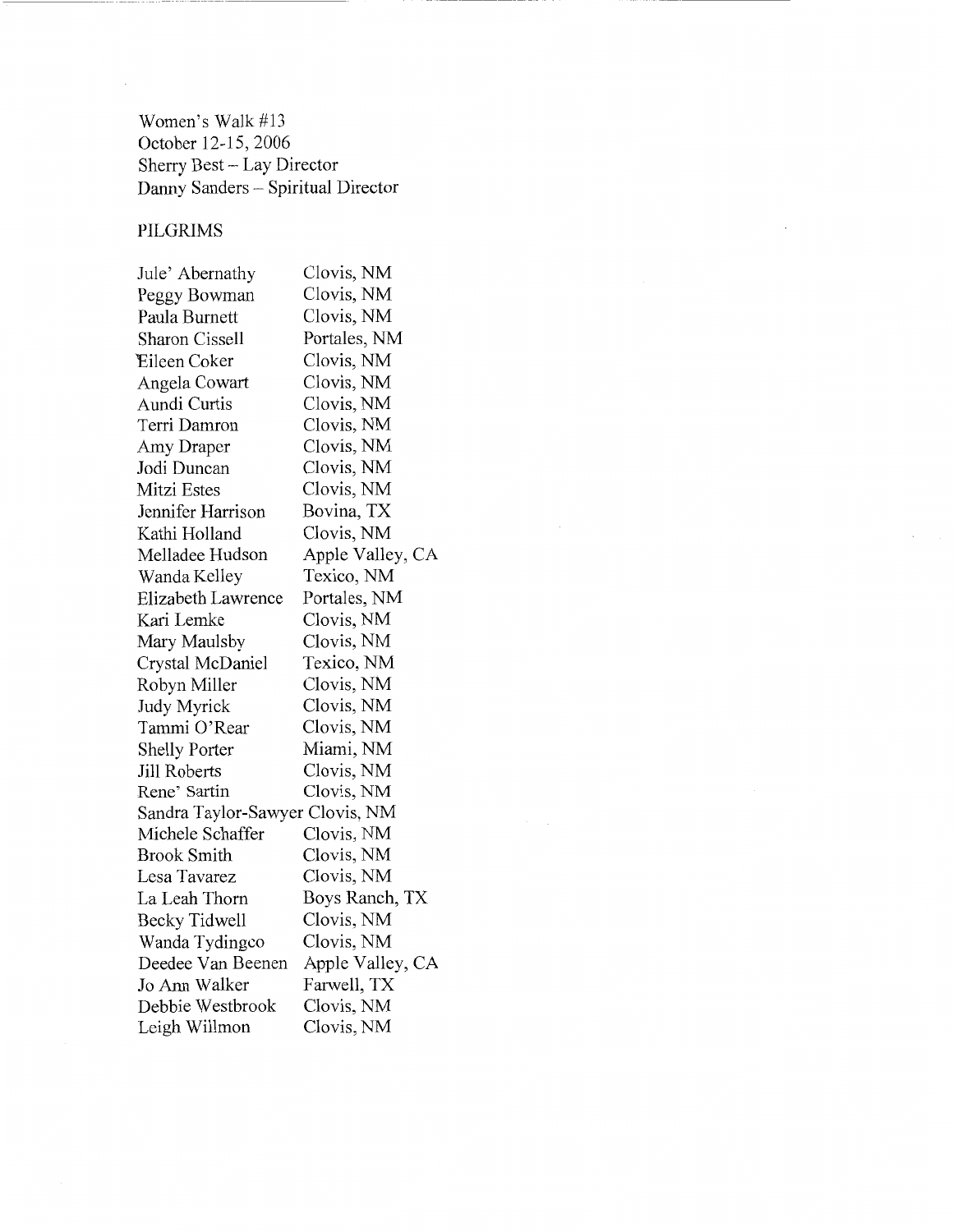Women's Walk #13 October 12-15, 2006 Sherry Best -- Lay Director Danny Sanders - Spiritual Director

# PILGRIMS

 $\bar{z}$ 

| Jule' Abernathy                 | Clovis, NM       |
|---------------------------------|------------------|
| Peggy Bowman                    | Clovis, NM       |
| Paula Burnett                   | Clovis, NM       |
| <b>Sharon Cissell</b>           | Portales, NM     |
| Eileen Coker                    | Clovis, NM       |
| Angela Cowart                   | Clovis, NM       |
| Aundi Curtis                    | Clovis, NM       |
| Terri Damron                    | Clovis, NM       |
| Amy Draper                      | Clovis, NM       |
| Jodi Duncan                     | Clovis, NM       |
| Mitzi Estes                     | Clovis, NM       |
| Jennifer Harrison               | Bovina, TX       |
| Kathi Holland                   | Clovis, NM       |
| Melladee Hudson                 | Apple Valley, CA |
| Wanda Kelley                    | Texico, NM       |
| Elizabeth Lawrence              | Portales, NM     |
| Kari Lemke                      | Clovis, NM       |
| Mary Maulsby                    | Clovis, NM       |
| Crystal McDaniel                | Texico, NM       |
| Robyn Miller                    | Clovis, NM       |
| Judy Myrick                     | Clovis, NM       |
| Tammi O'Rear                    | Clovis, NM       |
| <b>Shelly Porter</b>            | Miami, NM        |
| Jill Roberts                    | Clovis, NM       |
| Rene' Sartin                    | Clovis, NM       |
| Sandra Taylor-Sawyer Clovis, NM |                  |
| Michele Schaffer                | Clovis, NM       |
| <b>Brook Smith</b>              | Clovis, NM       |
| Lesa Tavarez                    | Clovis, NM       |
| La Leah Thorn                   | Boys Ranch, TX   |
| Becky Tidwell                   | Clovis, NM       |
| Wanda Tydingco                  | Clovis, NM       |
| Deedee Van Beenen               | Apple Valley, CA |
| Jo Ann Walker                   | Farwell, TX      |
| Debbie Westbrook                | Clovis, NM       |
| Leigh Willmon                   | Clovis, NM       |